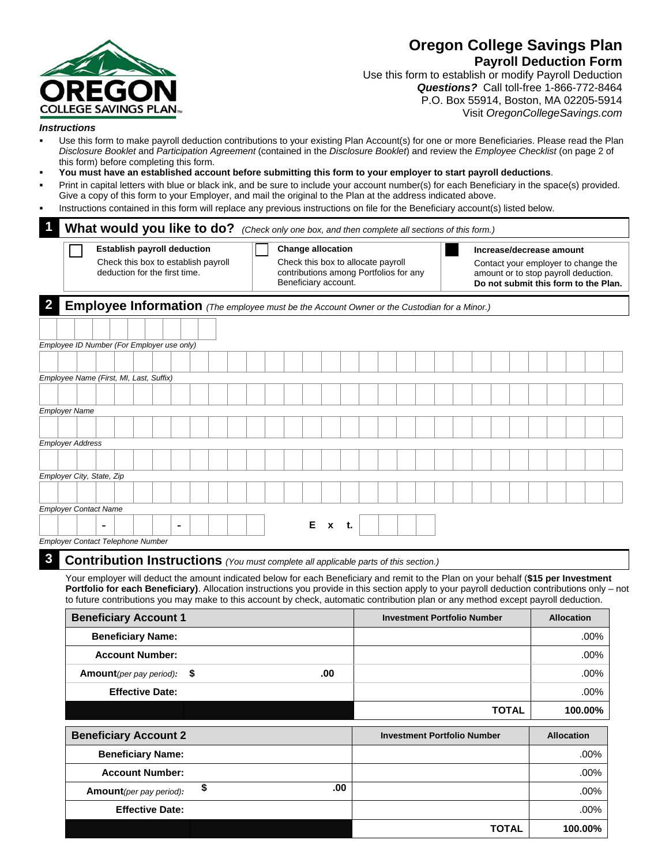# COLLEGE SAVINGS PLAN

# **Oregon College Savings Plan Payroll Deduction Form**

**TOTAL 100.00%** 

Use this form to establish or modify Payroll Deduction *Questions?* Call toll-free 1-866-772-8464 P.O. Box 55914, Boston, MA 02205-5914 Visit *OregonCollegeSavings.com*

### *Instructions*

- Use this form to make payroll deduction contributions to your existing Plan Account(s) for one or more Beneficiaries. Please read the Plan *Disclosure Booklet* and *Participation Agreement* (contained in the *Disclosure Booklet*) and review the *Employee Checklist* (on page 2 of this form) before completing this form.
- **You must have an established account before submitting this form to your employer to start payroll deductions**.
- Print in capital letters with blue or black ink, and be sure to include your account number(s) for each Beneficiary in the space(s) provided. Give a copy of this form to your Employer, and mail the original to the Plan at the address indicated above.
- Instructions contained in this form will replace any previous instructions on file for the Beneficiary account(s) listed below.

| $\overline{\mathbf{1}}$                    |  |  | What would you like to do?                                                                                 |  |  | (Check only one box, and then complete all sections of this form.)                          |                                                                                        |   |              |    |  |                                        |  |  |                          |  |                   |                                                                                                                                                                                                                                                                           |                                                                                                                                               |
|--------------------------------------------|--|--|------------------------------------------------------------------------------------------------------------|--|--|---------------------------------------------------------------------------------------------|----------------------------------------------------------------------------------------|---|--------------|----|--|----------------------------------------|--|--|--------------------------|--|-------------------|---------------------------------------------------------------------------------------------------------------------------------------------------------------------------------------------------------------------------------------------------------------------------|-----------------------------------------------------------------------------------------------------------------------------------------------|
|                                            |  |  | <b>Establish payroll deduction</b><br>Check this box to establish payroll<br>deduction for the first time. |  |  |                                                                                             | <b>Change allocation</b><br>Check this box to allocate payroll<br>Beneficiary account. |   |              |    |  | contributions among Portfolios for any |  |  | Increase/decrease amount |  |                   | Contact your employer to change the<br>amount or to stop payroll deduction.<br>Do not submit this form to the Plan.                                                                                                                                                       |                                                                                                                                               |
| $\overline{\mathbf{2}}$                    |  |  |                                                                                                            |  |  | Employee Information (The employee must be the Account Owner or the Custodian for a Minor.) |                                                                                        |   |              |    |  |                                        |  |  |                          |  |                   |                                                                                                                                                                                                                                                                           |                                                                                                                                               |
|                                            |  |  |                                                                                                            |  |  |                                                                                             |                                                                                        |   |              |    |  |                                        |  |  |                          |  |                   |                                                                                                                                                                                                                                                                           |                                                                                                                                               |
| Employee ID Number (For Employer use only) |  |  |                                                                                                            |  |  |                                                                                             |                                                                                        |   |              |    |  |                                        |  |  |                          |  |                   |                                                                                                                                                                                                                                                                           |                                                                                                                                               |
|                                            |  |  |                                                                                                            |  |  |                                                                                             |                                                                                        |   |              |    |  |                                        |  |  |                          |  |                   |                                                                                                                                                                                                                                                                           |                                                                                                                                               |
| Employee Name (First, MI, Last, Suffix)    |  |  |                                                                                                            |  |  |                                                                                             |                                                                                        |   |              |    |  |                                        |  |  |                          |  |                   |                                                                                                                                                                                                                                                                           |                                                                                                                                               |
|                                            |  |  |                                                                                                            |  |  |                                                                                             |                                                                                        |   |              |    |  |                                        |  |  |                          |  |                   |                                                                                                                                                                                                                                                                           |                                                                                                                                               |
| <b>Employer Name</b>                       |  |  |                                                                                                            |  |  |                                                                                             |                                                                                        |   |              |    |  |                                        |  |  |                          |  |                   |                                                                                                                                                                                                                                                                           |                                                                                                                                               |
|                                            |  |  |                                                                                                            |  |  |                                                                                             |                                                                                        |   |              |    |  |                                        |  |  |                          |  |                   |                                                                                                                                                                                                                                                                           |                                                                                                                                               |
| <b>Employer Address</b>                    |  |  |                                                                                                            |  |  |                                                                                             |                                                                                        |   |              |    |  |                                        |  |  |                          |  |                   |                                                                                                                                                                                                                                                                           |                                                                                                                                               |
|                                            |  |  |                                                                                                            |  |  |                                                                                             |                                                                                        |   |              |    |  |                                        |  |  |                          |  |                   |                                                                                                                                                                                                                                                                           |                                                                                                                                               |
| Employer City, State, Zip                  |  |  |                                                                                                            |  |  |                                                                                             |                                                                                        |   |              |    |  |                                        |  |  |                          |  |                   |                                                                                                                                                                                                                                                                           |                                                                                                                                               |
|                                            |  |  |                                                                                                            |  |  |                                                                                             |                                                                                        |   |              |    |  |                                        |  |  |                          |  |                   |                                                                                                                                                                                                                                                                           |                                                                                                                                               |
| <b>Employer Contact Name</b>               |  |  |                                                                                                            |  |  |                                                                                             |                                                                                        |   |              |    |  |                                        |  |  |                          |  |                   |                                                                                                                                                                                                                                                                           |                                                                                                                                               |
|                                            |  |  |                                                                                                            |  |  |                                                                                             |                                                                                        | Е | $\mathbf{x}$ | t. |  |                                        |  |  |                          |  |                   |                                                                                                                                                                                                                                                                           |                                                                                                                                               |
| Employer Contact Telephone Number          |  |  |                                                                                                            |  |  |                                                                                             |                                                                                        |   |              |    |  |                                        |  |  |                          |  |                   |                                                                                                                                                                                                                                                                           |                                                                                                                                               |
| $\boldsymbol{3}$                           |  |  |                                                                                                            |  |  | Contribution Instructions (You must complete all applicable parts of this section.)         |                                                                                        |   |              |    |  |                                        |  |  |                          |  |                   |                                                                                                                                                                                                                                                                           |                                                                                                                                               |
|                                            |  |  |                                                                                                            |  |  |                                                                                             |                                                                                        |   |              |    |  |                                        |  |  |                          |  |                   | Your employer will deduct the amount indicated below for each Beneficiary and remit to the Plan on your behalf (\$15 per Investment<br>to future contributions you may make to this account by check, automatic contribution plan or any method except payroll deduction. | Portfolio for each Beneficiary). Allocation instructions you provide in this section apply to your payroll deduction contributions only – not |
|                                            |  |  | <b>Beneficiary Account 1</b>                                                                               |  |  |                                                                                             |                                                                                        |   |              |    |  | <b>Investment Portfolio Number</b>     |  |  |                          |  | <b>Allocation</b> |                                                                                                                                                                                                                                                                           |                                                                                                                                               |
|                                            |  |  | <b>Beneficiary Name:</b>                                                                                   |  |  |                                                                                             |                                                                                        |   |              |    |  |                                        |  |  |                          |  |                   | .00%                                                                                                                                                                                                                                                                      |                                                                                                                                               |

| <b>Beneficiary Account 2</b>    |            | <b>Investment Portfolio Number</b> | <b>Allocation</b> |
|---------------------------------|------------|------------------------------------|-------------------|
| <b>Beneficiary Name:</b>        |            |                                    | $.00\%$           |
| <b>Account Number:</b>          |            |                                    | $.00\%$           |
| <b>Amount</b> (per pay period): | .00.<br>\$ |                                    | $.00\%$           |
| <b>Effective Date:</b>          |            |                                    | $.00\%$           |
|                                 |            | <b>TOTAL</b>                       | 100.00%           |
|                                 |            |                                    |                   |

**Account Number:** .00% **Amount***(per pay period):* **\$ .00** .00%

**Effective Date:** .00%